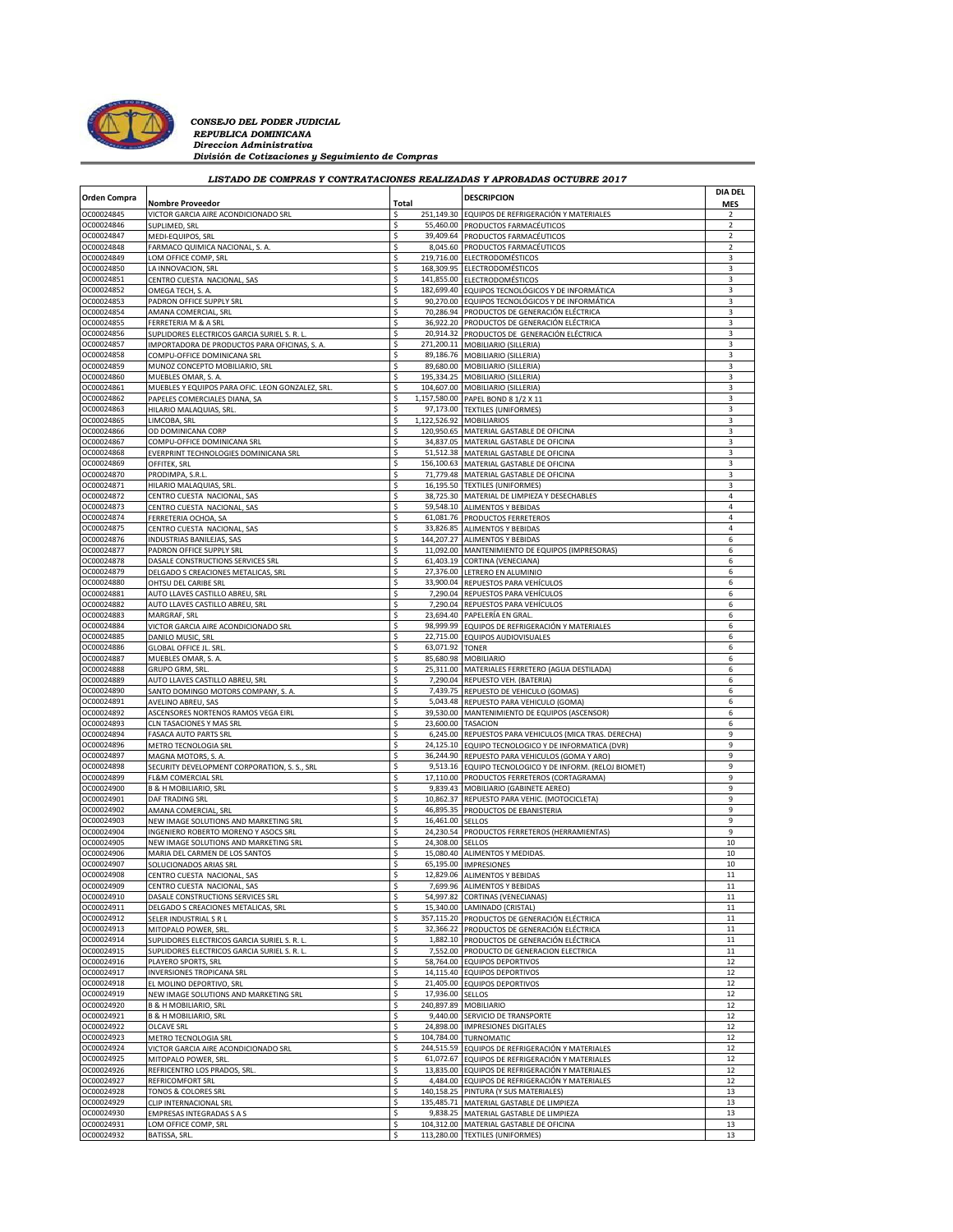

*CONSEJO DEL PODER JUDICIAL*<br>*REPUBLICA DOMINICANA*<br>*Direccion Administrativa División de Cotizaciones y Seguimiento de Compras*

| LISTADO DE COMPRAS Y CONTRATACIONES REALIZADAS Y APROBADAS OCTUBRE 2017 |                                                                           |           |                          |                                                                                            |                     |  |  |  |  |  |
|-------------------------------------------------------------------------|---------------------------------------------------------------------------|-----------|--------------------------|--------------------------------------------------------------------------------------------|---------------------|--|--|--|--|--|
| <b>Orden Compra</b>                                                     |                                                                           |           |                          | <b>DESCRIPCION</b>                                                                         | <b>DIA DEL</b>      |  |  |  |  |  |
|                                                                         | Nombre Proveedor                                                          | Total     |                          |                                                                                            | <b>MES</b>          |  |  |  |  |  |
| OC00024845                                                              | VICTOR GARCIA AIRE ACONDICIONADO SRL                                      | \$        |                          | 251,149.30 EQUIPOS DE REFRIGERACIÓN Y MATERIALES                                           | 2                   |  |  |  |  |  |
| OC00024846<br>OC00024847                                                | SUPLIMED, SRL<br>MEDI-EQUIPOS, SRL                                        | \$<br>\$  |                          | 55,460.00 PRODUCTOS FARMACÉUTICOS<br>39,409.64 PRODUCTOS FARMACÉUTICOS                     | $\overline{2}$<br>2 |  |  |  |  |  |
| OC00024848                                                              | FARMACO QUIMICA NACIONAL, S. A.                                           | \$        |                          | 8,045.60 PRODUCTOS FARMACÉUTICOS                                                           | $\mathcal{P}$       |  |  |  |  |  |
| OC00024849                                                              | LOM OFFICE COMP, SRL                                                      | \$        |                          | 219,716.00 ELECTRODOMÉSTICOS                                                               | 3                   |  |  |  |  |  |
| OC00024850                                                              | LA INNOVACION, SRL                                                        | \$        |                          | 168,309.95 ELECTRODOMÉSTICOS                                                               | 3                   |  |  |  |  |  |
| OC00024851                                                              | CENTRO CUESTA NACIONAL, SAS                                               | Ś         |                          | 141,855.00 ELECTRODOMÉSTICOS                                                               | 3                   |  |  |  |  |  |
| OC00024852                                                              | OMEGA TECH, S. A.                                                         | \$        |                          | 182,699.40 EQUIPOS TECNOLÓGICOS Y DE INFORMÁTICA                                           | 3                   |  |  |  |  |  |
| OC00024853                                                              | PADRON OFFICE SUPPLY SRL                                                  | \$        |                          | 90,270.00 EQUIPOS TECNOLÓGICOS Y DE INFORMÁTICA                                            | 3                   |  |  |  |  |  |
| OC00024854<br>OC00024855                                                | AMANA COMERCIAL, SRL                                                      | \$<br>\$  |                          | 70,286.94 PRODUCTOS DE GENERACIÓN ELÉCTRICA<br>36,922.20 PRODUCTOS DE GENERACIÓN ELÉCTRICA | 3<br>3              |  |  |  |  |  |
| OC00024856                                                              | FERRETERIA M & A SRL<br>SUPLIDORES ELECTRICOS GARCIA SURIEL S. R. L       | \$        |                          | 20,914.32 PRODUCTOS DE GENERACIÓN ELÉCTRICA                                                | 3                   |  |  |  |  |  |
| OC00024857                                                              | IMPORTADORA DE PRODUCTOS PARA OFICINAS, S. A                              | \$.       |                          | 271,200.11 MOBILIARIO (SILLERIA)                                                           | 3                   |  |  |  |  |  |
| OC00024858                                                              | COMPU-OFFICE DOMINICANA SRL                                               | \$        |                          | 89,186.76 MOBILIARIO (SILLERIA)                                                            | 3                   |  |  |  |  |  |
| OC00024859                                                              | MUNOZ CONCEPTO MOBILIARIO, SRL                                            | \$        |                          | 89,680.00 MOBILIARIO (SILLERIA)                                                            | 3                   |  |  |  |  |  |
| OC00024860                                                              | MUEBLES OMAR, S. A                                                        | \$        |                          | 195,334.25 MOBILIARIO (SILLERIA)                                                           | 3                   |  |  |  |  |  |
| OC00024861                                                              | MUEBLES Y EQUIPOS PARA OFIC. LEON GONZALEZ, SRL                           |           |                          | 104,607.00 MOBILIARIO (SILLERIA)                                                           | 3                   |  |  |  |  |  |
| OC00024862                                                              | PAPELES COMERCIALES DIANA, SA                                             | \$        |                          | 1,157,580.00 PAPEL BOND 8 1/2 X 11                                                         | 3                   |  |  |  |  |  |
| OC00024863                                                              | HILARIO MALAQUIAS, SRL                                                    | \$        |                          | 97,173.00 TEXTILES (UNIFORMES)                                                             | 3                   |  |  |  |  |  |
| OC00024865                                                              | LIMCOBA, SRL                                                              |           | 1,122,526.92             | <b>MOBILIARIOS</b>                                                                         | 3                   |  |  |  |  |  |
| OC00024866<br>OC00024867                                                | OD DOMINICANA CORP                                                        | \$<br>\$  |                          | 120,950.65 MATERIAL GASTABLE DE OFICINA<br>34,837.05 MATERIAL GASTABLE DE OFICINA          | 3<br>3              |  |  |  |  |  |
| OC00024868                                                              | COMPU-OFFICE DOMINICANA SRL<br>EVERPRINT TECHNOLOGIES DOMINICANA SRL      | Ś         | 51,512.38                | MATERIAL GASTABLE DE OFICINA                                                               | 3                   |  |  |  |  |  |
| OC00024869                                                              | OFFITEK, SRL                                                              | \$        |                          | 156,100.63 MATERIAL GASTABLE DE OFICINA                                                    | 3                   |  |  |  |  |  |
| OC00024870                                                              | PRODIMPA, S.R.L.                                                          | \$.       |                          | 71,779.48 MATERIAL GASTABLE DE OFICINA                                                     | 3                   |  |  |  |  |  |
| OC00024871                                                              | HILARIO MALAQUIAS, SRL                                                    |           | 16,195.50                | <b>TEXTILES (UNIFORMES)</b>                                                                | 3                   |  |  |  |  |  |
| OC00024872                                                              | CENTRO CUESTA NACIONAL, SAS                                               | \$        |                          | 38,725.30 MATERIAL DE LIMPIEZA Y DESECHABLES                                               | 4                   |  |  |  |  |  |
| OC00024873                                                              | CENTRO CUESTA NACIONAL, SAS                                               | \$        |                          | 59,548.10 ALIMENTOS Y BEBIDAS                                                              | 4                   |  |  |  |  |  |
| OC00024874                                                              | FERRETERIA OCHOA, SA                                                      | \$        |                          | 61,081.76 PRODUCTOS FERRETEROS                                                             | 4                   |  |  |  |  |  |
| OC00024875                                                              | CENTRO CUESTA NACIONAL, SAS                                               | \$        |                          | 33,826.85 ALIMENTOS Y BEBIDAS                                                              | 4                   |  |  |  |  |  |
| OC00024876                                                              | INDUSTRIAS BANILEJAS, SAS                                                 | \$        |                          | 144,207.27 ALIMENTOS Y BEBIDAS                                                             | 6                   |  |  |  |  |  |
| OC00024877                                                              | PADRON OFFICE SUPPLY SRI                                                  | Ś<br>\$   |                          | 11,092.00 MANTENIMIENTO DE EQUIPOS (IMPRESORAS                                             | 6                   |  |  |  |  |  |
| OC00024878<br>OC00024879                                                | DASALE CONSTRUCTIONS SERVICES SRL<br>DELGADO S CREACIONES METALICAS, SRL  | \$        |                          | 61,403.19 CORTINA (VENECIANA)<br>27,376.00 LETRERO EN ALUMINIO                             | 6<br>6              |  |  |  |  |  |
| OC00024880                                                              | OHTSU DEL CARIBE SRL                                                      | Ś         |                          | 33,900.04 REPUESTOS PARA VEHÍCULOS                                                         | 6                   |  |  |  |  |  |
| OC00024881                                                              | AUTO LLAVES CASTILLO ABREU, SRL                                           | \$.       |                          | 7,290.04 REPUESTOS PARA VEHÍCULOS                                                          | 6                   |  |  |  |  |  |
| OC00024882                                                              | AUTO LLAVES CASTILLO ABREU, SRL                                           | \$        |                          | 7,290.04 REPUESTOS PARA VEHÍCULOS                                                          | 6                   |  |  |  |  |  |
| OC00024883                                                              | MARGRAF, SRL                                                              | \$.       |                          | 23,694.40 PAPELERÍA EN GRAL                                                                | 6                   |  |  |  |  |  |
| OC00024884                                                              | VICTOR GARCIA AIRE ACONDICIONADO SRL                                      | \$        |                          | 98,999.99 EQUIPOS DE REFRIGERACIÓN Y MATERIALES                                            | 6                   |  |  |  |  |  |
| OC00024885                                                              | DANILO MUSIC, SRL                                                         | \$        |                          | 22,715.00 EQUIPOS AUDIOVISUALES                                                            | 6                   |  |  |  |  |  |
| OC00024886                                                              | <b>GLOBAL OFFICE JL. SRL</b>                                              | \$.       | 63,071.92                | <b>TONER</b>                                                                               | 6                   |  |  |  |  |  |
| OC00024887                                                              | MUEBLES OMAR, S. A.                                                       | \$        |                          | 85,680.98 MOBILIARIO                                                                       | 6                   |  |  |  |  |  |
| OC00024888<br>OC00024889                                                | GRUPO GRM, SRL.<br>AUTO LLAVES CASTILLO ABREU, SRL                        | \$<br>\$. |                          | 25,311.00 MATERIALES FERRETERO (AGUA DESTILADA)<br>7,290.04 REPUESTO VEH. (BATERIA)        | 6<br>6              |  |  |  |  |  |
| OC00024890                                                              | SANTO DOMINGO MOTORS COMPANY, S. A.                                       |           | 7,439.75                 | REPUESTO DE VEHICULO (GOMAS)                                                               | 6                   |  |  |  |  |  |
| OC00024891                                                              | AVELINO ABREU, SAS                                                        | Ś         |                          | 5,043.48 REPUESTO PARA VEHICULO (GOMA)                                                     | 6                   |  |  |  |  |  |
| OC00024892                                                              | ASCENSORES NORTENOS RAMOS VEGA EIRL                                       | \$        |                          | 39,530.00 MANTENIMIENTO DE EQUIPOS (ASCENSOR)                                              | 6                   |  |  |  |  |  |
| OC00024893                                                              | CLN TASACIONES Y MAS SRI                                                  |           | 23,600.00                | <b>TASACION</b>                                                                            | 6                   |  |  |  |  |  |
| OC00024894                                                              | FASACA AUTO PARTS SRL                                                     | \$        |                          | 6,245.00 REPUESTOS PARA VEHICULOS (MICA TRAS. DERECHA)                                     | 9                   |  |  |  |  |  |
| OC00024896                                                              | METRO TECNOLOGIA SRL                                                      | \$.       |                          | 24,125.10 EQUIPO TECNOLOGICO Y DE INFORMATICA (DVR)                                        | 9                   |  |  |  |  |  |
| OC00024897                                                              | MAGNA MOTORS, S. A                                                        |           |                          | 36,244.90 REPUESTO PARA VEHICULOS (GOMA Y ARO)                                             | 9                   |  |  |  |  |  |
| OC00024898                                                              | SECURITY DEVELOPMENT CORPORATION, S. S., SRL                              | \$        |                          | 9,513.16 EQUIPO TECNOLOGICO Y DE INFORM. (RELOJ BIOMET)                                    | 9                   |  |  |  |  |  |
| OC00024899<br>OC00024900                                                | FL&M COMERCIAL SRL                                                        | Ŝ<br>Ś    | 9,839.43                 | 17,110.00 PRODUCTOS FERRETEROS (CORTAGRAMA)<br>MOBILIARIO (GABINETE AEREO)                 | 9<br>9              |  |  |  |  |  |
| OC00024901                                                              | <b>B &amp; H MOBILIARIO, SRL</b><br>DAF TRADING SRL                       | \$        |                          | 10,862.37 REPUESTO PARA VEHIC. (MOTOCICLETA)                                               | 9                   |  |  |  |  |  |
| OC00024902                                                              | AMANA COMERCIAL, SRL                                                      | \$        |                          | 46,895.35 PRODUCTOS DE EBANISTERIA                                                         | 9                   |  |  |  |  |  |
| OC00024903                                                              | NEW IMAGE SOLUTIONS AND MARKETING SRL                                     | \$        | 16,461.00 SELLOS         |                                                                                            | 9                   |  |  |  |  |  |
| OC00024904                                                              | INGENIERO ROBERTO MORENO Y ASOCS SRL                                      | \$        |                          | 24,230.54 PRODUCTOS FERRETEROS (HERRAMIENTAS)                                              | 9                   |  |  |  |  |  |
| OC00024905                                                              | NEW IMAGE SOLUTIONS AND MARKETING SRL                                     | \$        | 24,308.00 SELLOS         |                                                                                            | 10                  |  |  |  |  |  |
| OC00024906                                                              | MARIA DEL CARMEN DE LOS SANTOS                                            |           |                          | 15,080.40 ALIMENTOS Y MEDIDAS.                                                             | 10                  |  |  |  |  |  |
| OC00024907                                                              | SOLUCIONADOS ARIAS SRL                                                    | \$        |                          | 65,195.00 IMPRESIONES                                                                      | 10                  |  |  |  |  |  |
| OC00024908                                                              | CENTRO CUESTA NACIONAL, SAS                                               | \$        |                          | 12,829.06 ALIMENTOS Y BEBIDAS                                                              | $11\,$              |  |  |  |  |  |
| OC00024909<br>OC00024910                                                | CENTRO CUESTA NACIONAL, SAS<br>DASALE CONSTRUCTIONS SERVICES SRL          | \$<br>\$  | 7,699.96                 | <b>ALIMENTOS Y BEBIDAS</b><br>54,997.82 CORTINAS (VENECIANAS)                              | 11<br>11            |  |  |  |  |  |
| OC00024911                                                              | DELGADO S CREACIONES METALICAS, SRL                                       | \$        |                          | 15,340.00 LAMINADO (CRISTAL)                                                               | 11                  |  |  |  |  |  |
| OC00024912                                                              | SELER INDUSTRIAL S R L                                                    | \$        |                          | 357,115.20 PRODUCTOS DE GENERACIÓN ELÉCTRICA                                               | 11                  |  |  |  |  |  |
| OC00024913                                                              | MITOPALO POWER, SRL                                                       | \$.       | 32,366.22                | PRODUCTOS DE GENERACIÓN ELÉCTRICA                                                          | 11                  |  |  |  |  |  |
| OC00024914                                                              | SUPLIDORES ELECTRICOS GARCIA SURIEL S. R. L                               | \$        |                          | 1,882.10 PRODUCTOS DE GENERACIÓN ELÉCTRICA                                                 | 11                  |  |  |  |  |  |
| OC00024915                                                              | SUPLIDORES ELECTRICOS GARCIA SURIEL S. R. L                               | \$.       |                          | 7,552.00 PRODUCTO DE GENERACION ELECTRICA                                                  | 11                  |  |  |  |  |  |
| OC00024916                                                              | PLAYERO SPORTS, SRL                                                       | \$        | 58,764.00                | <b>EQUIPOS DEPORTIVOS</b>                                                                  | 12                  |  |  |  |  |  |
| OC00024917                                                              | INVERSIONES TROPICANA SRL                                                 | \$        |                          | 14,115.40 EQUIPOS DEPORTIVOS                                                               | 12                  |  |  |  |  |  |
| OC00024918                                                              | EL MOLINO DEPORTIVO, SRL                                                  | Ś         | 17,936.00                | 21,405.00 EQUIPOS DEPORTIVOS                                                               | 12                  |  |  |  |  |  |
| OC00024919<br>OC00024920                                                | NEW IMAGE SOLUTIONS AND MARKETING SRL<br><b>B &amp; H MOBILIARIO, SRL</b> | \$<br>\$  |                          | <b>SELLOS</b><br>240,897.89 MOBILIARIO                                                     | 12<br>12            |  |  |  |  |  |
| OC00024921                                                              | <b>B &amp; H MOBILIARIO, SRL</b>                                          | \$.       |                          | 9,440.00 SERVICIO DE TRANSPORTE                                                            | 12                  |  |  |  |  |  |
| OC00024922                                                              | OLCAVE SRL                                                                | \$        | 24,898.00                | <b>IMPRESIONES DIGITALES</b>                                                               | 12                  |  |  |  |  |  |
| OC00024923                                                              | METRO TECNOLOGIA SRL                                                      | \$        |                          | 104,784.00 TURNOMATIC                                                                      | 12                  |  |  |  |  |  |
| OC00024924                                                              | VICTOR GARCIA AIRE ACONDICIONADO SRL                                      | \$        |                          | 244,515.59 EQUIPOS DE REFRIGERACIÓN Y MATERIALES                                           | 12                  |  |  |  |  |  |
| OC00024925                                                              | MITOPALO POWER, SRL                                                       | \$        | 61,072.67                | EQUIPOS DE REFRIGERACIÓN Y MATERIALES                                                      | 12                  |  |  |  |  |  |
| OC00024926                                                              | REFRICENTRO LOS PRADOS, SRL.                                              | \$        | 13,835.00                | EQUIPOS DE REFRIGERACIÓN Y MATERIALES                                                      | 12                  |  |  |  |  |  |
| OC00024927                                                              | REFRICOMFORT SRL                                                          | \$.       |                          | 4,484.00 EQUIPOS DE REFRIGERACIÓN Y MATERIALES                                             | 12                  |  |  |  |  |  |
| OC00024928                                                              | TONOS & COLORES SRL                                                       | \$<br>\$  | 140,158.25<br>135,485.71 | PINTURA (Y SUS MATERIALES)                                                                 | 13<br>13            |  |  |  |  |  |
| OC00024929<br>OC00024930                                                | CLIP INTERNACIONAL SRL<br>EMPRESAS INTEGRADAS S A S                       | \$        |                          | MATERIAL GASTABLE DE LIMPIEZA<br>9,838.25 MATERIAL GASTABLE DE LIMPIEZA                    | 13                  |  |  |  |  |  |
| OC00024931                                                              | LOM OFFICE COMP, SRL                                                      | \$        |                          | 104,312.00 MATERIAL GASTABLE DE OFICINA                                                    | 13                  |  |  |  |  |  |
| OC00024932                                                              | BATISSA, SRL                                                              | \$        |                          | 113,280.00 TEXTILES (UNIFORMES)                                                            | 13                  |  |  |  |  |  |
|                                                                         |                                                                           |           |                          |                                                                                            |                     |  |  |  |  |  |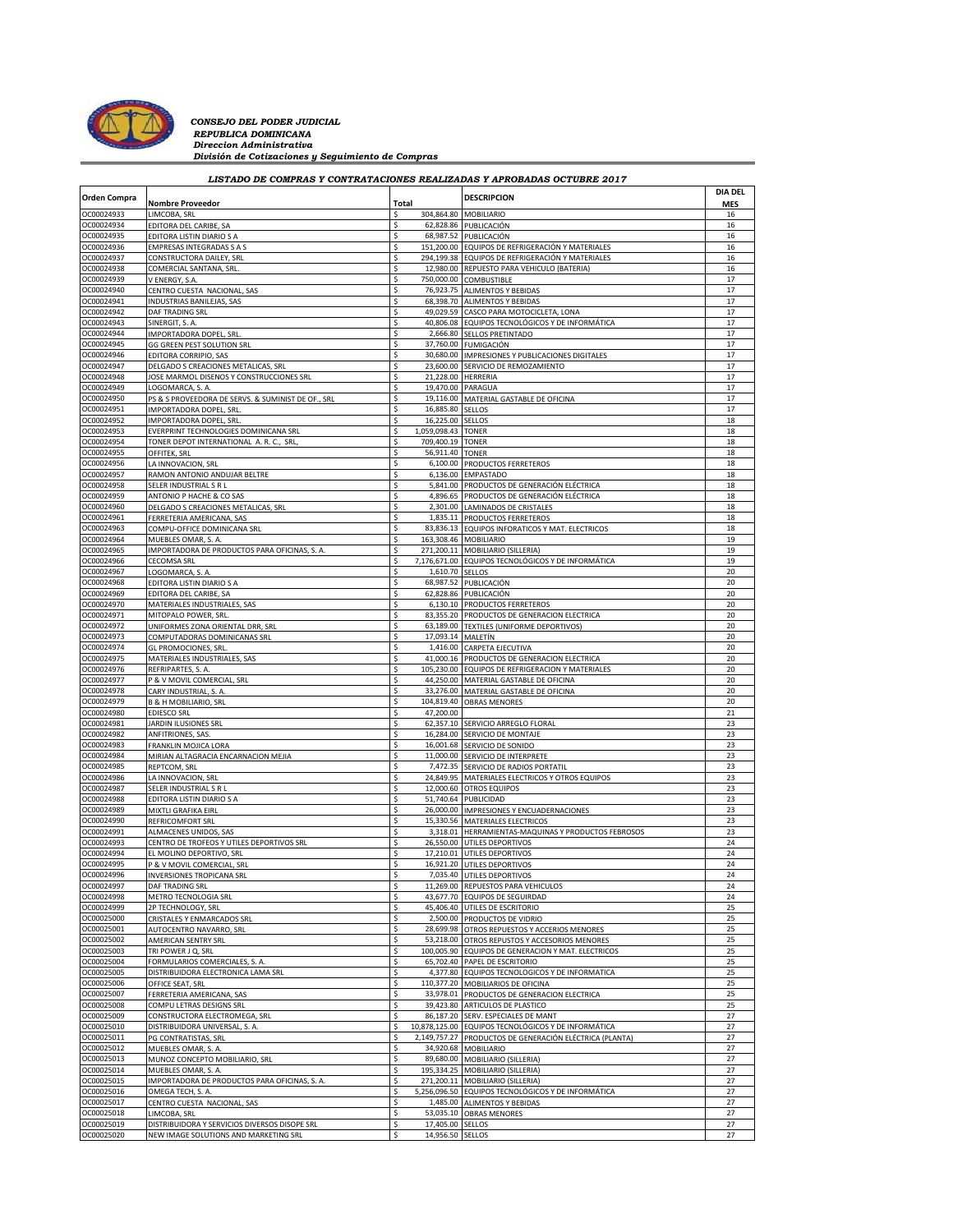

*CONSEJO DEL PODER JUDICIAL*<br>*REPUBLICA DOMINICANA*<br>*Direccion Administrativa División de Cotizaciones y Seguimiento de Compras*

## *LISTADO DE COMPRAS Y CONTRATACIONES REALIZADAS Y APROBADAS OCTUBRE 2017*

 $\overline{\phantom{a}}$ 

| <b>Orden Compra</b>      |                                                                       |             |                                | <b>DESCRIPCION</b>                                                                        | <b>DIA DEL</b>   |
|--------------------------|-----------------------------------------------------------------------|-------------|--------------------------------|-------------------------------------------------------------------------------------------|------------------|
| OC00024933               | <b>Nombre Proveedor</b>                                               | Total<br>\$ |                                | 304,864.80 MOBILIARIO                                                                     | <b>MES</b><br>16 |
| OC00024934               | LIMCOBA, SRL                                                          |             | 62,828.86                      | PUBLICACIÓN                                                                               | 16               |
| OC00024935               | EDITORA DEL CARIBE, SA<br>EDITORA LISTIN DIARIO S A                   | \$          |                                | 68,987.52 PUBLICACIÓN                                                                     | 16               |
| OC00024936               | <b>EMPRESAS INTEGRADAS S A S</b>                                      | S           |                                | 151,200.00 EQUIPOS DE REFRIGERACIÓN Y MATERIALES                                          | 16               |
| OC00024937               | CONSTRUCTORA DAILEY, SRL                                              |             | 294,199.38                     | EQUIPOS DE REFRIGERACIÓN Y MATERIALES                                                     | 16               |
| OC00024938               | COMERCIAL SANTANA, SRL                                                | \$          |                                | 12,980.00 REPUESTO PARA VEHICULO (BATERIA)                                                | 16               |
| OC00024939               | V ENERGY, S.A.                                                        | \$          |                                | 750,000.00 COMBUSTIBLE                                                                    | 17               |
| OC00024940               | CENTRO CUESTA NACIONAL, SAS                                           | Ś           | 76,923.75                      | <b>ALIMENTOS Y BEBIDAS</b>                                                                | 17               |
| OC00024941               | INDUSTRIAS BANILEJAS, SAS                                             |             |                                | 68,398.70 ALIMENTOS Y BEBIDAS                                                             | 17               |
| OC00024942               | DAF TRADING SRL                                                       | \$          |                                | 49,029.59 CASCO PARA MOTOCICLETA, LONA                                                    | 17               |
| OC00024943               | SINERGIT, S. A.                                                       | \$          | 40,806.08                      | EQUIPOS TECNOLÓGICOS Y DE INFORMÁTICA                                                     | 17               |
| OC00024944               | IMPORTADORA DOPEL, SRL                                                | \$          | 2,666.80                       | <b>SELLOS PRETINTADO</b>                                                                  | 17               |
| OC00024945               | GG GREEN PEST SOLUTION SRL                                            | \$          |                                | 37,760.00 FUMIGACIÓN                                                                      | 17               |
| OC00024946               | EDITORA CORRIPIO, SAS                                                 | Ś           | 30,680.00                      | IMPRESIONES Y PUBLICACIONES DIGITALES                                                     | 17               |
| OC00024947               | DELGADO S CREACIONES METALICAS, SRL                                   | \$          |                                | 23,600.00 SERVICIO DE REMOZAMIENTO                                                        | 17               |
| OC00024948               | JOSE MARMOL DISENOS Y CONSTRUCCIONES SRL                              | Ś           | 21,228.00 HERRERIA             |                                                                                           | 17               |
| OC00024949               | LOGOMARCA, S. A.                                                      | \$          | 19,470.00                      | PARAGUA                                                                                   | 17               |
| OC00024950               | PS & S PROVEEDORA DE SERVS. & SUMINIST DE OF., SRL                    | \$          |                                | 19,116.00 MATERIAL GASTABLE DE OFICINA                                                    | 17               |
| OC00024951               | IMPORTADORA DOPEL, SRL.                                               | \$<br>\$    | 16,885.80 SELLOS               |                                                                                           | 17<br>18         |
| OC00024952<br>OC00024953 | IMPORTADORA DOPEL, SRL<br>EVERPRINT TECHNOLOGIES DOMINICANA SRL       |             | 16,225.00<br>1,059,098.43      | <b>SELLOS</b><br><b>TONER</b>                                                             | 18               |
| OC00024954               | TONER DEPOT INTERNATIONAL A. R. C., SRL,                              | \$          | 709,400.19 TONER               |                                                                                           | 18               |
| OC00024955               | OFFITEK, SRL                                                          | S           | 56,911.40                      | <b>TONER</b>                                                                              | 18               |
| OC00024956               | LA INNOVACION, SRL                                                    |             | 6,100.00                       | PRODUCTOS FERRETEROS                                                                      | 18               |
| OC00024957               | RAMON ANTONIO ANDUJAR BELTRE                                          | \$          |                                | 6,136.00 EMPASTADO                                                                        | 18               |
| OC00024958               | SELER INDUSTRIAL S R L                                                |             | 5,841.00                       | PRODUCTOS DE GENERACIÓN ELÉCTRICA                                                         | 18               |
| OC00024959               | ANTONIO P HACHE & CO SAS                                              |             | 4,896.65                       | PRODUCTOS DE GENERACIÓN ELÉCTRICA                                                         | 18               |
| OC00024960               | DELGADO S CREACIONES METALICAS, SRL                                   |             |                                | 2,301.00 LAMINADOS DE CRISTALES                                                           | 18               |
| OC00024961               | FERRETERIA AMERICANA, SAS                                             |             |                                | 1,835.11 PRODUCTOS FERRETEROS                                                             | 18               |
| OC00024963               | COMPU-OFFICE DOMINICANA SRL                                           |             | 83,836.13                      | EQUIPOS INFORATICOS Y MAT. ELECTRICOS                                                     | 18               |
| OC00024964               | MUEBLES OMAR, S. A.                                                   | \$          |                                | 163,308.46 MOBILIARIO                                                                     | 19               |
| OC00024965               | IMPORTADORA DE PRODUCTOS PARA OFICINAS, S. A.                         | \$          |                                | 271,200.11 MOBILIARIO (SILLERIA)                                                          | 19               |
| OC00024966               | CECOMSA SRL                                                           |             | 7,176,671.00                   | EQUIPOS TECNOLÓGICOS Y DE INFORMÁTICA                                                     | 19               |
| OC00024967               | LOGOMARCA, S. A.                                                      | \$          | 1,610.70                       | <b>SELLOS</b>                                                                             | 20               |
| OC00024968               | EDITORA LISTIN DIARIO S A                                             | S           |                                | 68,987.52 PUBLICACIÓN                                                                     | 20               |
| OC00024969               | EDITORA DEL CARIBE, SA                                                | S           | 62,828.86                      | PUBLICACIÓN                                                                               | 20               |
| OC00024970               | MATERIALES INDUSTRIALES, SAS                                          | \$          |                                | 6,130.10 PRODUCTOS FERRETEROS                                                             | 20               |
| OC00024971               | MITOPALO POWER, SRL                                                   | \$<br>Ś     |                                | 83,355.20 PRODUCTOS DE GENERACION ELECTRICA                                               | 20<br>20         |
| OC00024972               | UNIFORMES ZONA ORIENTAL DRR, SRI                                      | \$          | 63,189.00<br>17,093.14 MALETÍN | TEXTILES (UNIFORME DEPORTIVOS)                                                            | 20               |
| OC00024973<br>OC00024974 | COMPUTADORAS DOMINICANAS SRL                                          | \$          |                                | 1,416.00 CARPETA EJECUTIVA                                                                | 20               |
| OC00024975               | <b>GL PROMOCIONES, SRL</b><br>MATERIALES INDUSTRIALES, SAS            |             | 41,000.16                      | PRODUCTOS DE GENERACION ELECTRICA                                                         | 20               |
| OC00024976               | REFRIPARTES, S. A.                                                    | \$          | 105,230.00                     | EQUIPOS DE REFRIGERACION Y MATERIALES                                                     | 20               |
| OC00024977               | P & V MOVIL COMERCIAL, SRL                                            | \$          |                                | 44,250.00 MATERIAL GASTABLE DE OFICINA                                                    | 20               |
| OC00024978               | CARY INDUSTRIAL, S. A                                                 | \$          | 33,276.00                      | MATERIAL GASTABLE DE OFICINA                                                              | 20               |
| OC00024979               | <b>B &amp; H MOBILIARIO, SRL</b>                                      |             | 104,819.40                     | <b>OBRAS MENORES</b>                                                                      | 20               |
| OC00024980               | <b>EDIESCO SRL</b>                                                    | \$          | 47,200.00                      |                                                                                           | 21               |
| OC00024981               | <b>JARDIN ILUSIONES SRI</b>                                           | S           |                                | 62,357.10 SERVICIO ARREGLO FLORAL                                                         | 23               |
| OC00024982               | ANFITRIONES, SAS.                                                     |             | 16,284.00                      | SERVICIO DE MONTAJE                                                                       | 23               |
| OC00024983               | FRANKLIN MOJICA LORA                                                  | \$          |                                | 16,001.68 SERVICIO DE SONIDO                                                              | 23               |
| OC00024984               | MIRIAN ALTAGRACIA ENCARNACION MEJIA                                   |             | 11,000.00                      | SERVICIO DE INTERPRETE                                                                    | 23               |
| OC00024985               | REPTCOM, SRL                                                          |             | 7,472.35                       | SERVICIO DE RADIOS PORTATIL                                                               | 23               |
| OC00024986               | LA INNOVACION, SRL                                                    | Ś           | 24,849.95                      | MATERIALES ELECTRICOS Y OTROS EQUIPOS                                                     | 23               |
| OC00024987               | SELER INDUSTRIAL S R L                                                | S           |                                | 12,000.60 OTROS EQUIPOS                                                                   | 23               |
| OC00024988               | EDITORA LISTIN DIARIO S A                                             |             | 51,740.64                      | PUBLICIDAD                                                                                | 23               |
| OC00024989               | MIXTLI GRAFIKA EIRL                                                   | \$          | 26,000.00                      | IMPRESIONES Y ENCUADERNACIONES                                                            | 23               |
| OC00024990               | REFRICOMFORT SRL                                                      | \$          |                                | 15,330.56 MATERIALES ELECTRICOS                                                           | 23               |
| OC00024991<br>OC00024993 | ALMACENES UNIDOS, SAS                                                 |             | 3,318.01                       | HERRAMIENTAS-MAQUINAS Y PRODUCTOS FEBROSOS                                                | 23<br>24         |
| OC00024994               | CENTRO DE TROFEOS Y UTILES DEPORTIVOS SRL<br>EL MOLINO DEPORTIVO, SRL |             |                                | 26,550.00 UTILES DEPORTIVOS<br>17,210.01 UTILES DEPORTIVOS                                | 24               |
| OC00024995               | P & V MOVIL COMERCIAL, SRL                                            | Ś           | 16,921.20                      | UTILES DEPORTIVOS                                                                         | 24               |
| OC00024996               | INVERSIONES TROPICANA SRL                                             |             |                                | 7,035.40 UTILES DEPORTIVOS                                                                | 24               |
| OC00024997               | <b>DAF TRADING SRL</b>                                                |             |                                | 11,269.00 REPUESTOS PARA VEHICULOS                                                        | 24               |
| OC00024998               | METRO TECNOLOGIA SRL                                                  | Ś           |                                | 43,677.70 EQUIPOS DE SEGUIRDAD                                                            | 24               |
| OC00024999               | 2P TECHNOLOGY, SRL                                                    | Ś           |                                | 45,406.40 UTILES DE ESCRITORIO                                                            | 25               |
| OC00025000               | <b>CRISTALES Y ENMARCADOS SRL</b>                                     | \$          |                                | 2,500.00 PRODUCTOS DE VIDRIO                                                              | 25               |
| OC00025001               | AUTOCENTRO NAVARRO, SRL                                               | Ś           |                                | 28,699.98 OTROS REPUESTOS Y ACCERIOS MENORES                                              | 25               |
| OC00025002               | <b>AMERICAN SENTRY SRL</b>                                            | \$          | 53,218.00                      | OTROS REPUSTOS Y ACCESORIOS MENORES                                                       | 25               |
| OC00025003               | TRI POWER J Q, SRL                                                    | \$          |                                | 100,005.90 EQUIPOS DE GENERACION Y MAT. ELECTRICOS                                        | 25               |
| OC00025004               | FORMULARIOS COMERCIALES, S. A.                                        | \$          | 65,702.40                      | PAPEL DE ESCRITORIO                                                                       | 25               |
| OC00025005               | DISTRIBUIDORA ELECTRONICA LAMA SRL                                    | \$          | 4,377.80                       | EQUIPOS TECNOLOGICOS Y DE INFORMATICA                                                     | 25               |
| OC00025006               | OFFICE SEAT, SRL                                                      | \$          |                                | 110,377.20 MOBILIARIOS DE OFICINA                                                         | 25               |
| OC00025007               | FERRETERIA AMERICANA, SAS                                             | \$          | 33,978.01                      | PRODUCTOS DE GENERACION ELECTRICA                                                         | 25               |
| OC00025008               | COMPU LETRAS DESIGNS SRL                                              | \$          | 39,423.80                      | ARTICULOS DE PLASTICO                                                                     | 25               |
| OC00025009<br>OC00025010 | CONSTRUCTORA ELECTROMEGA, SRL                                         | \$<br>Ś     |                                | 86,187.20 SERV. ESPECIALES DE MANT<br>10,878,125.00 EQUIPOS TECNOLÓGICOS Y DE INFORMÁTICA | 27               |
| OC00025011               | DISTRIBUIDORA UNIVERSAL, S. A.<br>PG CONTRATISTAS, SRL                | \$          | 2,149,757.27                   |                                                                                           | 27<br>27         |
| OC00025012               | MUEBLES OMAR, S. A.                                                   | \$          |                                | PRODUCTOS DE GENERACIÓN ELÉCTRICA (PLANTA)<br>34,920.68 MOBILIARIO                        | 27               |
| OC00025013               | MUNOZ CONCEPTO MOBILIARIO, SRL                                        | \$          |                                | 89,680.00 MOBILIARIO (SILLERIA)                                                           | 27               |
| OC00025014               | MUEBLES OMAR, S. A.                                                   | \$          | 195,334.25                     | MOBILIARIO (SILLERIA)                                                                     | 27               |
| OC00025015               | IMPORTADORA DE PRODUCTOS PARA OFICINAS, S. A.                         | \$          |                                | 271,200.11 MOBILIARIO (SILLERIA)                                                          | 27               |
| OC00025016               | OMEGA TECH, S. A.                                                     | \$          |                                | 5,256,096.50 EQUIPOS TECNOLÓGICOS Y DE INFORMÁTICA                                        | 27               |
| OC00025017               | CENTRO CUESTA NACIONAL, SAS                                           |             | 1,485.00                       | ALIMENTOS Y BEBIDAS                                                                       | 27               |
| OC00025018               | LIMCOBA, SRL                                                          | \$          |                                | 53,035.10 OBRAS MENORES                                                                   | 27               |
| OC00025019               | DISTRIBUIDORA Y SERVICIOS DIVERSOS DISOPE SRL                         | \$          | 17,405.00 SELLOS               |                                                                                           | 27               |
| OC00025020               | NEW IMAGE SOLUTIONS AND MARKETING SRL                                 | \$          | 14,956.50                      | <b>SELLOS</b>                                                                             | 27               |